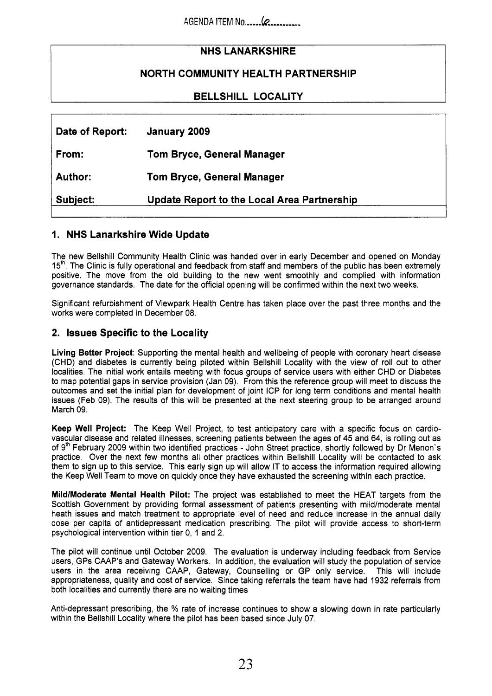# **NHS LANARKSHIRE**

## **NORTH COMMUNITY HEALTH PARTNERSHIP**

**BELLSHILL LOCALITY** 

| Date of Report: | January 2009                                       |
|-----------------|----------------------------------------------------|
| From:           | <b>Tom Bryce, General Manager</b>                  |
| Author:         | <b>Tom Bryce, General Manager</b>                  |
| Subject:        | <b>Update Report to the Local Area Partnership</b> |

## **1. NHS Lanarkshire Wide Update**

The new Bellshill Community Health Clinic was handed over in early December and opened on Monday 15<sup>th</sup>. The Clinic is fully operational and feedback from staff and members of the public has been extremely positive. The move from the old building to the new went smoothly and complied with information governance standards. The date for the official opening will be confirmed within the next two weeks.

Significant refurbishment of Viewpark Health Centre has taken place over the past three months and the works were completed in December 08.

### **2. Issues Specific to the Locality**

**Living Better Project:** Supporting the mental health and wellbeing of people with coronary heart disease (CHD) and diabetes is currently being piloted within Bellshill Locality with the view of roll out to other localities. The initial work entails meeting with focus groups of service users with either CHD or Diabetes to map potential gaps in service provision (Jan 09). From this the reference group will meet to discuss the outcomes and set the initial plan for development of joint ICP for long term conditions and mental health issues (Feb 09). The results of this will be presented at the next steering group to be arranged around March 09.

**Keep Well Project:** The Keep Well Project, to test anticipatory care with a specific focus on cardiovascular disease and related illnesses, screening patients between the ages of **45** and 64, is rolling out as of 9<sup>th</sup> February 2009 within two identified practices - John Street practice, shortly followed by Dr Menon's practice. Over the next few months all other practices within Bellshill Locality will be contacted to ask them to sign up to this service. This early sign up will allow IT to access the information required allowing the Keep Well Team to move on quickly once they have exhausted the screening within each practice.

**MildlModerate Mental Health Pilot:** The project was established to meet the HEAT targets from the Scottish Government by providing formal assessment of patients presenting with mild/moderate mental heath issues and match treatment to appropriate level of need and reduce increase in the annual daily dose per capita of antidepressant medication prescribing. The pilot will provide access to short-term psychological intervention within tier 0, 1 and 2.

The pilot will continue until October 2009. The evaluation is underway including feedback from Service users, GPs CAAP's and Gateway Workers. In addition, the evaluation will study the population of service users in the area receiving CAAP, Gateway, Counselling or GP only service. This will include appropriateness, quality and cost of service. Since taking referrals the team have had 1932 referrals from both localities and currently there are no waiting times

Anti-depressant prescribing, the % rate of increase continues to show a slowing down in rate particularly within the Bellshill Locality where the pilot has been based since July 07.